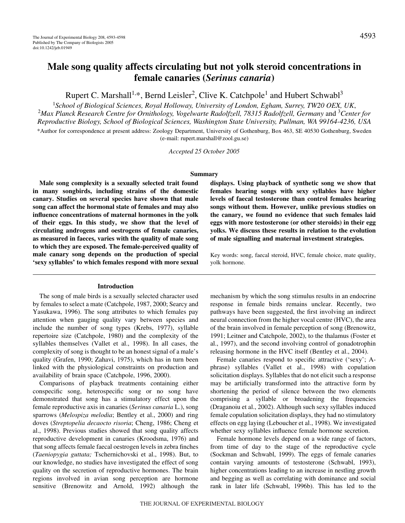# **Male song quality affects circulating but not yolk steroid concentrations in female canaries (***Serinus canaria***)**

Rupert C. Marshall<sup>1,\*</sup>, Bernd Leisler<sup>2</sup>, Clive K. Catchpole<sup>1</sup> and Hubert Schwabl<sup>3</sup>

<sup>1</sup>School of Biological Sciences, Royal Holloway, University of London, Egham, Surrey, TW20 OEX, UK,<br><sup>2</sup>Max Planck Research Centre for Ornithology, Vogelwarte Radolfzell, 78315 Radolfzell, Germany and <sup>3</sup>Cente *Max Planck Research Centre for Ornithology, Vogelwarte Radolfzell, 78315 Radolfzell, Germany* and 3 *Center for Reproductive Biology, School of Biological Sciences, Washington State University, Pullman, WA 99164-4236, USA*

\*Author for correspondence at present address: Zoology Department, University of Gothenburg, Box 463, SE 40530 Gothenburg, Sweden (e-mail: rupert.marshall@zool.gu.se)

*Accepted 25 October 2005*

# **Summary**

**Male song complexity is a sexually selected trait found in many songbirds, including strains of the domestic canary. Studies on several species have shown that male song can affect the hormonal state of females and may also influence concentrations of maternal hormones in the yolk of their eggs. In this study, we show that the level of circulating androgens and oestrogens of female canaries, as measured in faeces, varies with the quality of male song to which they are exposed. The female-perceived quality of male canary song depends on the production of special 'sexy syllables' to which females respond with more sexual**

### **Introduction**

The song of male birds is a sexually selected character used by females to select a mate (Catchpole, 1987, 2000; Searcy and Yasukawa, 1996). The song attributes to which females pay attention when gauging quality vary between species and include the number of song types (Krebs, 1977), syllable repertoire size (Catchpole, 1980) and the complexity of the syllables themselves (Vallet et al., 1998). In all cases, the complexity of song is thought to be an honest signal of a male's quality (Grafen, 1990; Zahavi, 1975), which has in turn been linked with the physiological constraints on production and availability of brain space (Catchpole, 1996, 2000).

Comparisons of playback treatments containing either conspecific song, heterospecific song or no song have demonstrated that song has a stimulatory effect upon the female reproductive axis in canaries (*Serinus canaria* L.), song sparrows (*Melospiza melodia*; Bentley et al., 2000) and ring doves (*Streptopelia decaocto risoria*; Cheng, 1986; Cheng et al., 1998). Previous studies showed that song quality affects reproductive development in canaries (Kroodsma, 1976) and that song affects female faecal oestrogen levels in zebra finches (*Taeniopygia guttata;* Tschernichovski et al., 1998). But, to our knowledge, no studies have investigated the effect of song quality on the secretion of reproductive hormones. The brain regions involved in avian song perception are hormone sensitive (Brenowitz and Arnold, 1992) although the

**displays. Using playback of synthetic song we show that females hearing songs with sexy syllables have higher levels of faecal testosterone than control females hearing songs without them. However, unlike previous studies on the canary, we found no evidence that such females laid eggs with more testosterone (or other steroids) in their egg yolks. We discuss these results in relation to the evolution of male signalling and maternal investment strategies.**

Key words: song, faecal steroid, HVC, female choice, mate quality, yolk hormone.

mechanism by which the song stimulus results in an endocrine response in female birds remains unclear. Recently, two pathways have been suggested, the first involving an indirect neural connection from the higher vocal centre (HVC), the area of the brain involved in female perception of song (Brenowitz, 1991; Leitner and Catchpole, 2002), to the thalamus (Foster et al., 1997), and the second involving control of gonadotrophin releasing hormone in the HVC itself (Bentley et al., 2004).

Female canaries respond to specific attractive ('sexy'; Aphrase) syllables (Vallet et al., 1998) with copulation solicitation displays. Syllables that do not elicit such a response may be artificially transformed into the attractive form by shortening the period of silence between the two elements comprising a syllable or broadening the frequencies (Draganoiu et al., 2002). Although such sexy syllables induced female copulation solicitation displays, they had no stimulatory effects on egg laying (Leboucher et al., 1998). We investigated whether sexy syllables influence female hormone secretion.

Female hormone levels depend on a wide range of factors, from time of day to the stage of the reproductive cycle (Sockman and Schwabl, 1999). The eggs of female canaries contain varying amounts of testosterone (Schwabl, 1993), higher concentrations leading to an increase in nestling growth and begging as well as correlating with dominance and social rank in later life (Schwabl, 1996b). This has led to the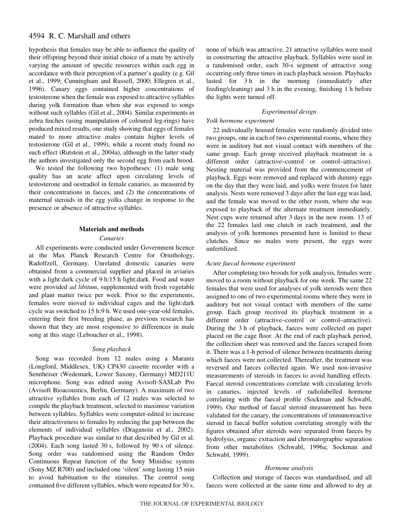# 4594 R. C. Marshall and others

hypothesis that females may be able to influence the quality of their offspring beyond their initial choice of a mate by actively varying the amount of specific resources within each egg in accordance with their perception of a partner's quality (e.g. Gil et al., 1999; Cunningham and Russell, 2000; Ellegren et al., 1996). Canary eggs contained higher concentrations of testosterone when the female was exposed to attractive syllables during yolk formation than when she was exposed to songs without such syllables (Gil et al., 2004). Similar experiments in zebra finches (using manipulation of coloured leg-rings) have produced mixed results, one study showing that eggs of females mated to more attractive males contain higher levels of testosterone (Gil et al., 1999), while a recent study found no such effect (Rutstein et al., 2004a), although in the latter study the authors investigated only the second egg from each brood.

We tested the following two hypotheses: (1) male song quality has an acute affect upon circulating levels of testosterone and oestradiol in female canaries, as measured by their concentrations in faeces, and (2) the concentrations of maternal steroids in the egg yolks change in response to the presence or absence of attractive syllables.

### **Materials and methods**

#### *Canaries*

All experiments were conducted under Government licence at the Max Planck Research Centre for Ornithology, Radolfzell, Germany. Unrelated domestic canaries were obtained from a commercial supplier and placed in aviaries with a light:dark cycle of 9 h:15 h light:dark. Food and water were provided *ad libitum*, supplemented with fresh vegetable and plant matter twice per week. Prior to the experiments, females were moved to individual cages and the light:dark cycle was switched to 15 h:9 h. We used one-year-old females, entering their first breeding phase, as previous research has shown that they are most responsive to differences in male song at this stage (Leboucher et al., 1998).

# *Song playback*

Song was recorded from 12 males using a Marantz (Longford, Middlesex, UK) CP430 cassette recorder with a Sennheiser (Wedemark, Lower Saxony, Germany) MD211U microphone. Song was edited using Avisoft-SASLab Pro (Avisoft Bioacoustics, Berlin, Germany). A maximum of two attractive syllables from each of 12 males was selected to compile the playback treatment, selected to maximise variation between syllables. Syllables were computer-edited to increase their attractiveness to females by reducing the gap between the elements of individual syllables (Draganoiu et al., 2002). Playback procedure was similar to that described by Gil et al. (2004). Each song lasted  $30s$ , followed by  $90s$  of silence. Song order was randomised using the Random Order Continuous Repeat function of the Sony Minidisc system (Sony MZ R700) and included one 'silent' song lasting 15 min to avoid habituation to the stimulus. The control song contained five different syllables, which were repeated for 30 s,

none of which was attractive. 21 attractive syllables were used in constructing the attractive playback. Syllables were used in a randomised order, each 30-s segment of attractive song occurring only three times in each playback session. Playbacks lasted for 3<sup>h</sup> in the morning (immediately after feeding/cleaning) and 3 h in the evening, finishing 1 h before the lights were turned off.

# *Experimental design*

# *Yolk hormone experiment*

22 individually housed females were randomly divided into two groups, one in each of two experimental rooms, where they were in auditory but not visual contact with members of the same group. Each group received playback treatment in a different order (attractive–control or control–attractive). Nesting material was provided from the commencement of playback. Eggs were removed and replaced with dummy eggs on the day that they were laid, and yolks were frozen for later analysis. Nests were removed 3 days after the last egg was laid, and the female was moved to the other room, where she was exposed to playback of the alternate treatment immediately. Nest cups were returned after 3 days in the new room. 13 of the 22 females laid one clutch in each treatment, and the analysis of yolk hormones presented here is limited to these clutches. Since no males were present, the eggs were unfertilized.

### *Acute faecal hormone experiment*

After completing two broods for yolk analysis, females were moved to a room without playback for one week. The same 22 females that were used for analyses of yolk steroids were then assigned to one of two experimental rooms where they were in auditory but not visual contact with members of the same group. Each group received its playback treatment in a different order (attractive–control or control–attractive). During the 3 h of playback, faeces were collected on paper placed on the cage floor. At the end of each playback period, the collection sheet was removed and the faeces scraped from it. There was a 1-h period of silence between treatments during which faeces were not collected. Thereafter, the treatment was reversed and faeces collected again. We used non-invasive measurements of steroids in faeces to avoid handling effects. Faecal steroid concentrations correlate with circulating levels in canaries, injected levels of radiolabelled hormone correlating with the faecal profile (Sockman and Schwabl, 1999). Our method of faecal steroid measurement has been validated for the canary, the concentrations of immunoreactive steroid in faecal buffer solution correlating strongly with the figures obtained after steroids were separated from faeces by hydrolysis, organic extraction and chromatographic separation from other metabolites (Schwabl, 1996a; Sockman and Schwabl, 1999).

#### *Hormone analysis*

Collection and storage of faeces was standardised, and all faeces were collected at the same time and allowed to dry at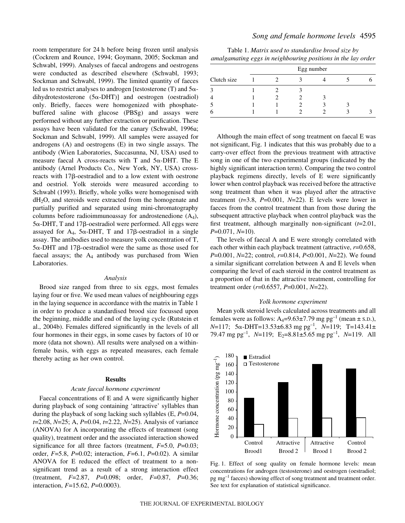room temperature for 24 h before being frozen until analysis (Cockrem and Rounce, 1994; Goymann, 2005; Sockman and Schwabl, 1999). Analyses of faecal androgens and oestrogens were conducted as described elsewhere (Schwabl, 1993; Sockman and Schwabl, 1999). The limited quantity of faeces led us to restrict analyses to androgen [testosterone  $(T)$  and  $5\alpha$ dihydrotestosterone  $(5\alpha$ -DHT)] and oestrogen (oestradiol) only. Briefly, faeces were homogenized with phosphatebuffered saline with glucose (PBSg) and assays were performed without any further extraction or purification. These assays have been validated for the canary (Schwabl, 1996a; Sockman and Schwabl, 1999). All samples were assayed for androgens (A) and oestrogens (E) in two single assays. The antibody (Wien Laboratories, Succasunna, NJ, USA) used to measure faecal A cross-reacts with T and  $5\alpha$ -DHT. The E antibody (Arnel Products Co., New York, NY, USA) crossreacts with  $17\beta$ -oestradiol and to a low extent with oestrone and oestriol. Yolk steroids were measured according to Schwabl (1993). Briefly, whole yolks were homogenised with dH2O, and steroids were extracted from the homogenate and partially purified and separated using mini-chromatography columns before radioimmunoassay for androstenedione  $(A_4)$ ,  $5\alpha$ -DHT, T and 17 $\beta$ -oestradiol were performed. All eggs were assayed for  $A_4$ ,  $5\alpha$ -DHT, T and 17 $\beta$ -oestradiol in a single assay. The antibodies used to measure yolk concentration of T,  $5\alpha$ -DHT and 17 $\beta$ -oestradiol were the same as those used for faecal assays; the  $A_4$  antibody was purchased from Wien Laboratories.

#### *Analysis*

Brood size ranged from three to six eggs, most females laying four or five. We used mean values of neighbouring eggs in the laying sequence in accordance with the matrix in Table 1 in order to produce a standardised brood size focussed upon the beginning, middle and end of the laying cycle (Rutstein et al., 2004b). Females differed significantly in the levels of all four hormones in their eggs, in some cases by factors of 10 or more (data not shown). All results were analysed on a withinfemale basis, with eggs as repeated measures, each female thereby acting as her own control.

#### **Results**

#### *Acute faecal hormone experiment*

Faecal concentrations of E and A were significantly higher during playback of song containing 'attractive' syllables than during the playback of song lacking such syllables (E, *P*=0.04, *t*=2.08, *N*=25; A, *P*=0.04, *t*=2.22, *N*=25). Analysis of variance (ANOVA) for A incorporating the effects of treatment (song quality), treatment order and the associated interaction showed significance for all three factors (treatment, *F*=5.0, *P*=0.03; order, *F*=5.8, *P*=0.02; interaction, *F*=6.1, *P*=0.02). A similar ANOVA for E reduced the effect of treatment to a nonsignificant trend as a result of a strong interaction effect (treatment, *F*=2.87, *P*=0.098; order, *F*=0.87, *P*=0.36; interaction, *F*=15.62, *P*=0.0003).

# *Song and female hormone levels* 4595

Table 1. *Matrix used to standardise brood size by amalgamating eggs in neighbouring positions in the lay order*

| Clutch size | Egg number |  |  |  |  |  |
|-------------|------------|--|--|--|--|--|
|             |            |  |  |  |  |  |
|             |            |  |  |  |  |  |
|             |            |  |  |  |  |  |
|             |            |  |  |  |  |  |
|             |            |  |  |  |  |  |

Although the main effect of song treatment on faecal E was not significant, Fig. 1 indicates that this was probably due to a carry-over effect from the previous treatment with attractive song in one of the two experimental groups (indicated by the highly significant interaction term). Comparing the two control playback regimens directly, levels of E were significantly lower when control playback was received before the attractive song treatment than when it was played after the attractive treatment  $(t=3.8, P=0.001, N=22)$ . E levels were lower in faeces from the control treatment than from those during the subsequent attractive playback when control playback was the first treatment, although marginally non-significant (*t*=2.01, *P*=0.071, *N*=10).

The levels of faecal A and E were strongly correlated with each other within each playback treatment (attractive, *r*=0.658, *P*=0.001, *N*=22; control, *r*=0.814, *P*<0.001, *N*=22). We found a similar significant correlation between A and E levels when comparing the level of each steroid in the control treatment as a proportion of that in the attractive treatment, controlling for treatment order (*r*=0.6557, *P*=0.001, *N*=22).

### *Yolk hormone experiment*

Mean yolk steroid levels calculated across treatments and all females were as follows:  $A_4=9.63\pm7.79$  mg pg<sup>-1</sup> (mean  $\pm$  s.p.), *N*=117; 5α-DHT=13.53±6.83 mg pg<sup>-1</sup>, *N*=119; T=143.41± 79.47 mg pg<sup>-1</sup>, *N*=119; E<sub>2</sub>=8.81±5.65 mg pg<sup>-1</sup>, *N*=119. All



Fig. 1. Effect of song quality on female hormone levels: mean concentrations for androgen (testosterone) and oestrogen (oestradiol;  $pg~mg^{-1}$  faeces) showing effect of song treatment and treatment order. See text for explanation of statistical significance.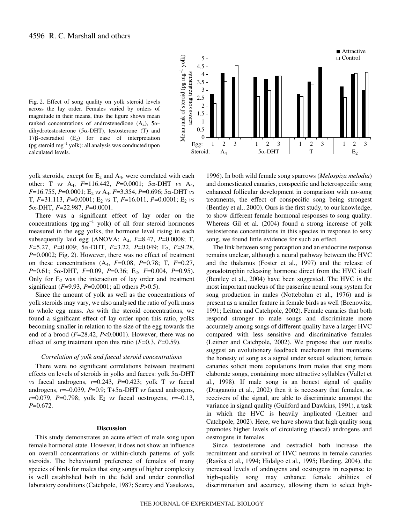

Fig. 2. Effect of song quality on yolk steroid levels across the lay order. Females varied by orders of magnitude in their means, thus the figure shows mean ranked concentrations of androstenedione  $(A_4)$ ,  $5\alpha$ dihydrotestosterone  $(5\alpha$ -DHT), testosterone (T) and  $17\beta$ -oestradiol  $(E_2)$  for ease of interpretation (pg steroid  $mg^{-1}$  yolk): all analysis was conducted upon calculated levels.

yolk steroids, except for  $E_2$  and  $A_4$ , were correlated with each other: T *vs*  $A_4$ ,  $F=116.442$ ,  $P=0.0001$ ;  $5\alpha$ -DHT *vs*  $A_4$ , *F*=16.755, *P*=0.0001; E<sub>2</sub> *vs* A<sub>4</sub>, *F*=3.354, *P*=0.696; 5α-DHT *vs* T, *F*=31.113, *P*=0.0001; E2 *vs* T, *F*=16.011, *P*=0.0001; E2 *vs* 5α-DHT, *F*=22.987, *P*=0.0001.

There was a significant effect of lay order on the concentrations ( $pg~mg^{-1}$  yolk) of all four steroid hormones measured in the egg yolks, the hormone level rising in each subsequently laid egg (ANOVA; A4, *F*=8.47, *P*=0.0008; T, *F*=5.27, *P*=0.009; 5α-DHT, *F*=3.22, *P*=0.049; E<sub>2</sub>, *F*=9.28, *P*=0.0002; Fig. 2). However, there was no effect of treatment on these concentrations (A4, *F*=0.08, *P*=0.78; T, *F*=0.27, *P*=0.61; 5α-DHT, *F*=0.09, *P*=0.36; E<sub>2</sub>, *F*=0.004, *P*=0.95). Only for  $E_2$  was the interaction of lay order and treatment significant (*F*=9.93, *P*=0.0001; all others *P*>0.5).

Since the amount of yolk as well as the concentrations of yolk steroids may vary, we also analysed the ratio of yolk mass to whole egg mass. As with the steroid concentrations, we found a significant effect of lay order upon this ratio, yolks becoming smaller in relation to the size of the egg towards the end of a brood (*F*=28.42, *P*<0.0001). However, there was no effect of song treatment upon this ratio (*F*=0.3, *P*=0.59).

#### *Correlation of yolk and faecal steroid concentrations*

There were no significant correlations between treatment effects on levels of steroids in yolks and faeces: yolk  $5\alpha$ -DHT *vs* faecal androgens, *r*=0.243, *P*=0.423; yolk T *vs* faecal androgens,  $r = -0.039$ ,  $P = 0.9$ ; T+5 $\alpha$ -DHT *vs* faecal androgens, *r*=0.079, *P*=0.798; yolk E<sub>2</sub> *vs* faecal oestrogens, *r*=-0.13, *P*=0.672.

#### **Discussion**

This study demonstrates an acute effect of male song upon female hormonal state. However, it does not show an influence on overall concentrations or within-clutch patterns of yolk steroids. The behavioural preference of females of many species of birds for males that sing songs of higher complexity is well established both in the field and under controlled laboratory conditions (Catchpole, 1987; Searcy and Yasukawa, 1996). In both wild female song sparrows (*Melospiza melodia*) and domesticated canaries, conspecific and heterospecific song enhanced follicular development in comparison with no-song treatments, the effect of conspecific song being strongest (Bentley et al., 2000). Ours is the first study, to our knowledge, to show different female hormonal responses to song quality. Whereas Gil et al. (2004) found a strong increase of yolk testosterone concentrations in this species in response to sexy song, we found little evidence for such an effect.

The link between song perception and an endocrine response remains unclear, although a neural pathway between the HVC and the thalamus (Foster et al., 1997) and the release of gonadotrophin releasing hormone direct from the HVC itself (Bentley et al., 2004) have been suggested. The HVC is the most important nucleus of the passerine neural song system for song production in males (Nottebohm et al., 1976) and is present as a smaller feature in female birds as well (Brenowitz, 1991; Leitner and Catchpole, 2002). Female canaries that both respond stronger to male songs and discriminate more accurately among songs of different quality have a larger HVC compared with less sensitive and discriminative females (Leitner and Catchpole, 2002). We propose that our results suggest an evolutionary feedback mechanism that maintains the honesty of song as a signal under sexual selection; female canaries solicit more copulations from males that sing more elaborate songs, containing more attractive syllables (Vallet et al., 1998). If male song is an honest signal of quality (Draganoiu et al., 2002) then it is necessary that females, as receivers of the signal, are able to discriminate amongst the variance in signal quality (Guilford and Dawkins, 1991), a task in which the HVC is heavily implicated (Leitner and Catchpole, 2002). Here, we have shown that high quality song promotes higher levels of circulating (faecal) androgens and oestrogens in females.

Since testosterone and oestradiol both increase the recruitment and survival of HVC neurons in female canaries (Rasika et al., 1994; Hidalgo et al., 1995; Harding, 2004), the increased levels of androgens and oestrogens in response to high-quality song may enhance female abilities of discrimination and accuracy, allowing them to select high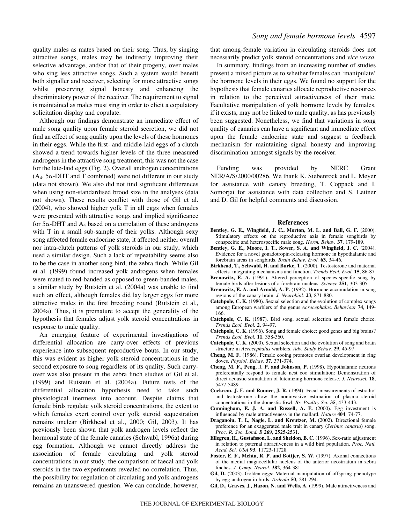quality males as mates based on their song. Thus, by singing attractive songs, males may be indirectly improving their selective advantage, and/or that of their progeny, over males who sing less attractive songs. Such a system would benefit both signaller and receiver, selecting for more attractive songs whilst preserving signal honesty and enhancing the discriminatory power of the receiver. The requirement to signal is maintained as males must sing in order to elicit a copulatory solicitation display and copulate.

Although our findings demonstrate an immediate effect of male song quality upon female steroid secretion, we did not find an effect of song quality upon the levels of these hormones in their eggs. While the first- and middle-laid eggs of a clutch showed a trend towards higher levels of the three measured androgens in the attractive song treatment, this was not the case for the late-laid eggs (Fig. 2). Overall androgen concentrations  $(A_4, 5\alpha$ -DHT and T combined) were not different in our study (data not shown). We also did not find significant differences when using non-standardised brood size in the analyses (data not shown). These results conflict with those of Gil et al. (2004), who showed higher yolk T in all eggs when females were presented with attractive songs and implied significance for  $5\alpha$ -DHT and  $A_4$  based on a correlation of these androgens with T in a small sub-sample of their yolks. Although sexy song affected female endocrine state, it affected neither overall nor intra-clutch patterns of yolk steroids in our study, which used a similar design. Such a lack of repeatability seems also to be the case in another song bird, the zebra finch. While Gil et al. (1999) found increased yolk androgens when females were mated to red-banded as opposed to green-banded males, a similar study by Rutstein et al. (2004a) was unable to find such an effect, although females did lay larger eggs for more attractive males in the first breeding round (Rutstein et al., 2004a). Thus, it is premature to accept the generality of the hypothesis that females adjust yolk steroid concentrations in response to male quality.

An emerging feature of experimental investigations of differential allocation are carry-over effects of previous experience into subsequent reproductive bouts. In our study, this was evident as higher yolk steroid concentrations in the second exposure to song regardless of its quality. Such carryover was also present in the zebra finch studies of Gil et al. (1999) and Rutstein et al. (2004a). Future tests of the differential allocation hypothesis need to take such physiological inertness into account. Despite claims that female birds regulate yolk steroid concentrations, the extent to which females exert control over yolk steroid sequestration remains unclear (Birkhead et al., 2000; Gil, 2003). It has previously been shown that yolk androgen levels reflect the hormonal state of the female canaries (Schwabl, 1996a) during egg formation. Although we cannot directly address the association of female circulating and yolk steroid concentrations in our study, the comparison of faecal and yolk steroids in the two experiments revealed no correlation. Thus, the possibility for regulation of circulating and yolk androgens remains an unanswered question. We can conclude, however,

# *Song and female hormone levels* 4597

that among-female variation in circulating steroids does not necessarily predict yolk steroid concentrations and *vice versa*.

In summary, findings from an increasing number of studies present a mixed picture as to whether females can 'manipulate' the hormone levels in their eggs. We found no support for the hypothesis that female canaries allocate reproductive resources in relation to the perceived attractiveness of their mate. Facultative manipulation of yolk hormone levels by females, if it exists, may not be linked to male quality, as has previously been suggested. Nonetheless, we find that variations in song quality of canaries can have a significant and immediate effect upon the female endocrine state and suggest a feedback mechanism for maintaining signal honesty and improving discrimination amongst signals by the receiver.

Funding was provided by NERC Grant NER/A/S/2000/00286. We thank K. Siebenrock and L. Meyer for assistance with canary breeding, T. Coppack and I. Somorjai for assistance with data collection and S. Leitner and D. Gil for helpful comments and discussion.

#### **References**

- **Bentley, G. E., Wingfield, J. C., Morton, M. L. and Ball, G. F.** (2000). Stimulatory effects on the reproductive axis in female songbirds by conspecific and heterospecific male song. *Horm. Behav.* **37**, 179-189.
- **Bentley, G. E., Moore, I. T., Sower, S. A. and Wingfield, J. C.** (2004). Evidence for a novel gonadotropin-releasing hormone in hypothalamic and forebrain areas in songbirds. *Brain Behav. Evol.* **63**, 34-46.
- **Birkhead, T., Schwabl, H. and Burke, T.** (2000). Testosterone and maternal effects–integrating mechanisms and function. *Trends Ecol. Evol.* **15**, 86-87.
- Brenowitz, E. A. (1991). Altered perception of species-specific song by female birds after lesions of a forebrain nucleus. *Science* **251**, 303-305.
- **Brenowitz, E. A. and Arnold, A. P.** (1992). Hormone accumulation in song regions of the canary brain. *J. Neurobiol.* **23**, 871-880.
- **Catchpole, C. K.** (1980). Sexual selection and the evolution of complex songs among European warblers of the genus *Acrocephalus*. *Behaviour* **74**, 149- 166.
- **Catchpole, C. K.** (1987). Bird song, sexual selection and female choice. *Trends Ecol. Evol.* **2**, 94-97.
- **Catchpole, C. K.** (1996). Song and female choice: good genes and big brains? *Trends Ecol. Evol.* **11**, 358-360.
- **Catchpole, C. K.** (2000). Sexual selection and the evolution of song and brain structure in *Acrocephalus* warblers. *Adv. Study Behav.* **29**, 45-97.
- **Cheng, M. F.** (1986). Female cooing promotes ovarian development in ring doves. *Physiol. Behav.* **37**, 371-374.
- **Cheng, M. F., Peng, J. P. and Johnson, P.** (1998). Hypothalamic neurons preferentially respond to female nest coo stimulation: Demonstration of direct acoustic stimulation of luteinizing hormone release. *J. Neurosci.* **18**, 5477-5489.
- **Cockrem, J. F. and Rounce, J. R.** (1994). Fecal measurements of estradiol and testosterone allow the noninvasive estimation of plasma steroid concentrations in the domestic-fowl. *Br. Poultry Sci.* **35**, 433-443.
- **Cunningham, E. J. A. and Russell, A. F.** (2000). Egg investment is influenced by male attractiveness in the mallard. *Nature* **404**, 74-77.
- **Draganoiu, T. I., Nagle, L. and Kreutzer, M.** (2002). Directional female preference for an exaggerated male trait in canary (*Serinus canaria*) song. *Proc. R. Soc. Lond. B* **269**, 2525-2531.
- **Ellegren, H., Gustafsson, L. and Sheldon, B. C.** (1996). Sex-ratio adjustment in relation to paternal attractiveness in a wild bird population. *Proc. Natl. Acad. Sci. USA* **93**, 11723-11728.
- **Foster, E. F., Mehta, R. P. and Bottjer, S. W.** (1997). Axonal connections of the medial magnocellular nucleus of the anterior neostriatum in zebra finches. *J. Comp. Neurol.* **382**, 364-381.
- **Gil, D.** (2003). Golden eggs: Maternal manipulation of offspring phenotype by egg androgen in birds. *Ardeola* **50**, 281-294.
- **Gil, D., Graves, J., Hazon, N. and Wells, A.** (1999). Male attractiveness and